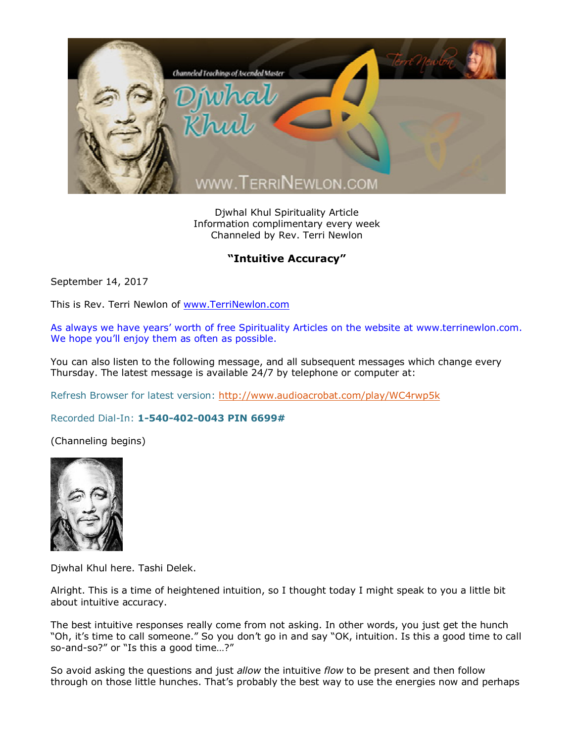

Djwhal Khul Spirituality Article Information complimentary every week Channeled by Rev. Terri Newlon

## **"Intuitive Accuracy"**

September 14, 2017

This is Rev. Terri Newlon of [www.TerriNewlon.com](http://www.terrinewlon.com/)

As always we have years' worth of free Spirituality Articles on the website at www.terrinewlon.com. We hope you'll enjoy them as often as possible.

You can also listen to the following message, and all subsequent messages which change every Thursday. The latest message is available 24/7 by telephone or computer at:

Refresh Browser for latest version: <http://www.audioacrobat.com/play/WC4rwp5k>

Recorded Dial-In: **1-540-402-0043 PIN 6699#**

(Channeling begins)



Djwhal Khul here. Tashi Delek.

Alright. This is a time of heightened intuition, so I thought today I might speak to you a little bit about intuitive accuracy.

The best intuitive responses really come from not asking. In other words, you just get the hunch "Oh, it's time to call someone." So you don't go in and say "OK, intuition. Is this a good time to call so-and-so?" or "Is this a good time…?"

So avoid asking the questions and just *allow* the intuitive *flow* to be present and then follow through on those little hunches. That's probably the best way to use the energies now and perhaps